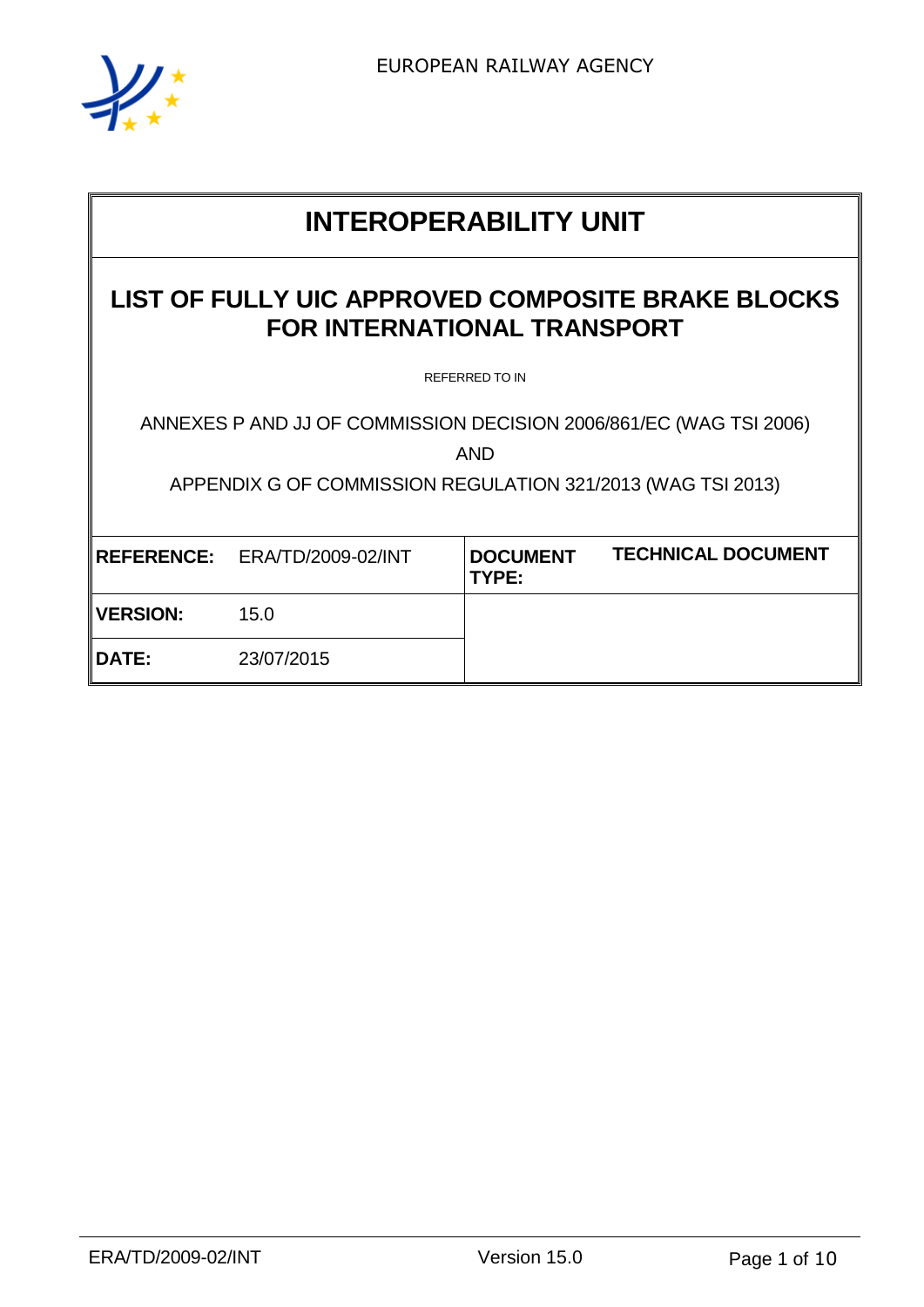

# **INTEROPERABILITY UNIT**

## **LIST OF FULLY UIC APPROVED COMPOSITE BRAKE BLOCKS FOR INTERNATIONAL TRANSPORT**

REFERRED TO IN

ANNEXES P AND JJ OF COMMISSION DECISION 2006/861/EC (WAG TSI 2006)

AND

APPENDIX G OF COMMISSION REGULATION 321/2013 (WAG TSI 2013)

|           | REFERENCE: ERA/TD/2009-02/INT | <b>DOCUMENT</b><br>TYPE: | <b>TECHNICAL DOCUMENT</b> |
|-----------|-------------------------------|--------------------------|---------------------------|
| ∥VERSION: | 15.0                          |                          |                           |
| ∥DATE:    | 23/07/2015                    |                          |                           |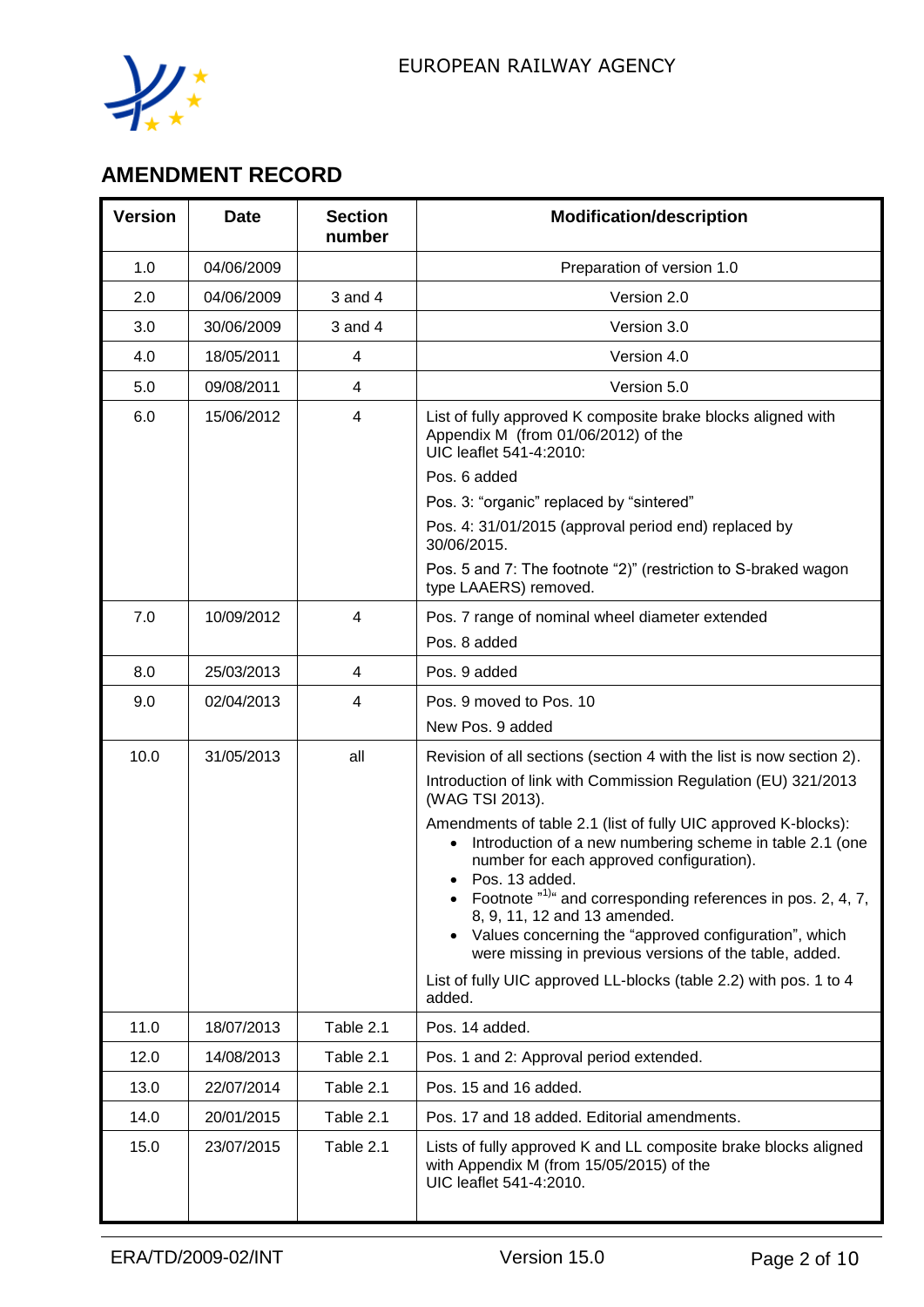

# **AMENDMENT RECORD**

| <b>Version</b> | <b>Date</b> | <b>Section</b><br>number | <b>Modification/description</b>                                                                                                                                                            |
|----------------|-------------|--------------------------|--------------------------------------------------------------------------------------------------------------------------------------------------------------------------------------------|
| 1.0            | 04/06/2009  |                          | Preparation of version 1.0                                                                                                                                                                 |
| 2.0            | 04/06/2009  | $3$ and $4$              | Version 2.0                                                                                                                                                                                |
| 3.0            | 30/06/2009  | $3$ and $4$              | Version 3.0                                                                                                                                                                                |
| 4.0            | 18/05/2011  | 4                        | Version 4.0                                                                                                                                                                                |
| 5.0            | 09/08/2011  | 4                        | Version 5.0                                                                                                                                                                                |
| 6.0            | 15/06/2012  | 4                        | List of fully approved K composite brake blocks aligned with<br>Appendix M (from 01/06/2012) of the<br>UIC leaflet 541-4:2010:                                                             |
|                |             |                          | Pos. 6 added                                                                                                                                                                               |
|                |             |                          | Pos. 3: "organic" replaced by "sintered"                                                                                                                                                   |
|                |             |                          | Pos. 4: 31/01/2015 (approval period end) replaced by<br>30/06/2015.                                                                                                                        |
|                |             |                          | Pos. 5 and 7: The footnote "2)" (restriction to S-braked wagon<br>type LAAERS) removed.                                                                                                    |
| 7.0            | 10/09/2012  | $\overline{4}$           | Pos. 7 range of nominal wheel diameter extended                                                                                                                                            |
|                |             |                          | Pos. 8 added                                                                                                                                                                               |
| 8.0            | 25/03/2013  | 4                        | Pos. 9 added                                                                                                                                                                               |
| 9.0            | 02/04/2013  | 4                        | Pos. 9 moved to Pos. 10                                                                                                                                                                    |
|                |             |                          | New Pos. 9 added                                                                                                                                                                           |
| 10.0           | 31/05/2013  | all                      | Revision of all sections (section 4 with the list is now section 2).                                                                                                                       |
|                |             |                          | Introduction of link with Commission Regulation (EU) 321/2013<br>(WAG TSI 2013).                                                                                                           |
|                |             |                          | Amendments of table 2.1 (list of fully UIC approved K-blocks):<br>Introduction of a new numbering scheme in table 2.1 (one<br>number for each approved configuration).<br>• Pos. 13 added. |
|                |             |                          | Footnote $n^{1/a}$ and corresponding references in pos. 2, 4, 7,<br>8, 9, 11, 12 and 13 amended.<br>Values concerning the "approved configuration", which<br>$\bullet$                     |
|                |             |                          | were missing in previous versions of the table, added.<br>List of fully UIC approved LL-blocks (table 2.2) with pos. 1 to 4<br>added.                                                      |
| 11.0           | 18/07/2013  | Table 2.1                | Pos. 14 added.                                                                                                                                                                             |
| 12.0           | 14/08/2013  | Table 2.1                | Pos. 1 and 2: Approval period extended.                                                                                                                                                    |
| 13.0           | 22/07/2014  | Table 2.1                | Pos. 15 and 16 added.                                                                                                                                                                      |
| 14.0           | 20/01/2015  | Table 2.1                | Pos. 17 and 18 added. Editorial amendments.                                                                                                                                                |
| 15.0           | 23/07/2015  | Table 2.1                | Lists of fully approved K and LL composite brake blocks aligned<br>with Appendix M (from 15/05/2015) of the<br>UIC leaflet 541-4:2010.                                                     |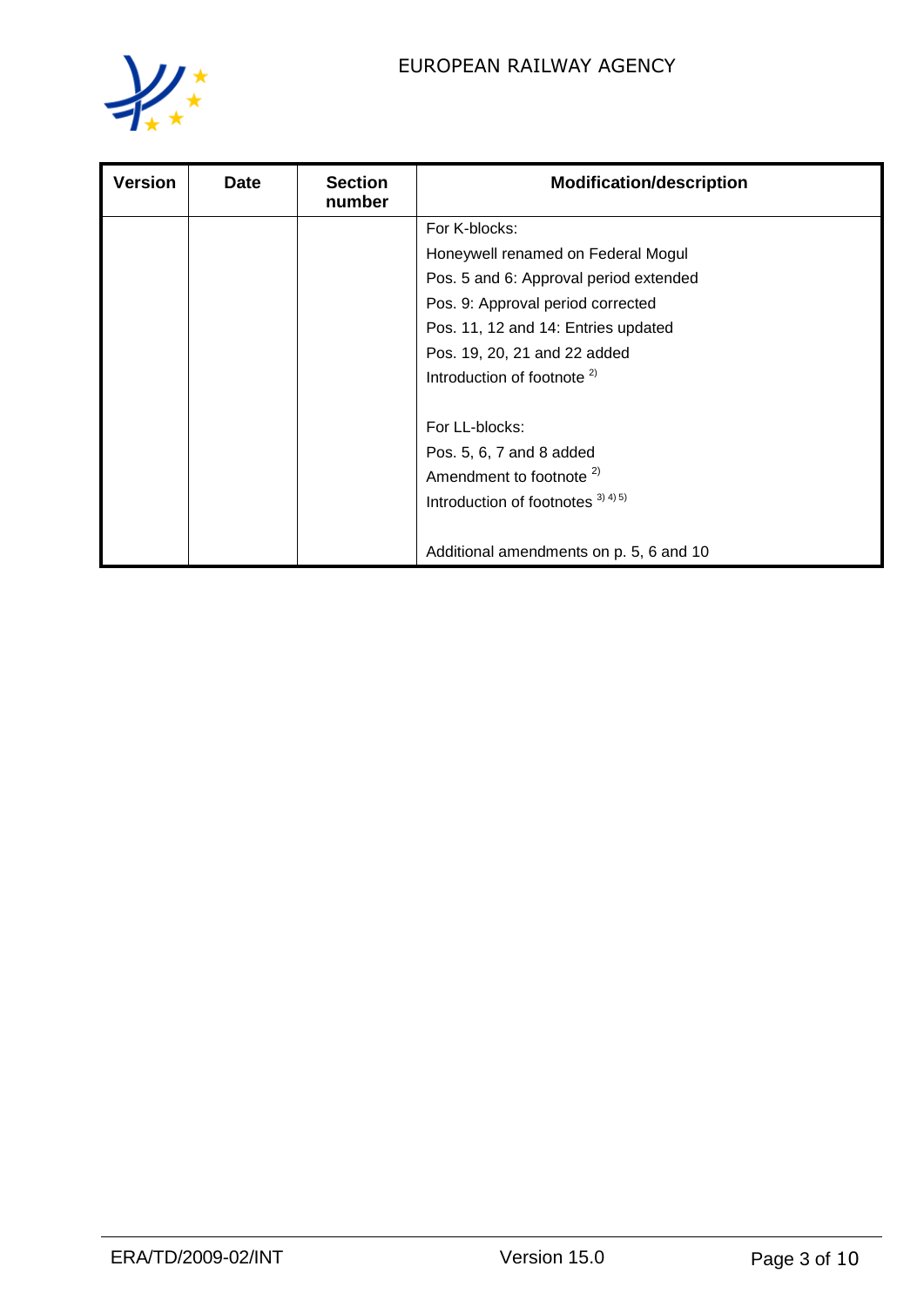

| <b>Version</b> | <b>Date</b> | <b>Section</b><br>number | <b>Modification/description</b>         |
|----------------|-------------|--------------------------|-----------------------------------------|
|                |             |                          | For K-blocks:                           |
|                |             |                          | Honeywell renamed on Federal Mogul      |
|                |             |                          | Pos. 5 and 6: Approval period extended  |
|                |             |                          | Pos. 9: Approval period corrected       |
|                |             |                          | Pos. 11, 12 and 14: Entries updated     |
|                |             |                          | Pos. 19, 20, 21 and 22 added            |
|                |             |                          | Introduction of footnote $2$            |
|                |             |                          | For LL-blocks:                          |
|                |             |                          | Pos. 5, 6, 7 and 8 added                |
|                |             |                          | Amendment to footnote <sup>2)</sup>     |
|                |             |                          | Introduction of footnotes $^{3(4)(5)}$  |
|                |             |                          | Additional amendments on p. 5, 6 and 10 |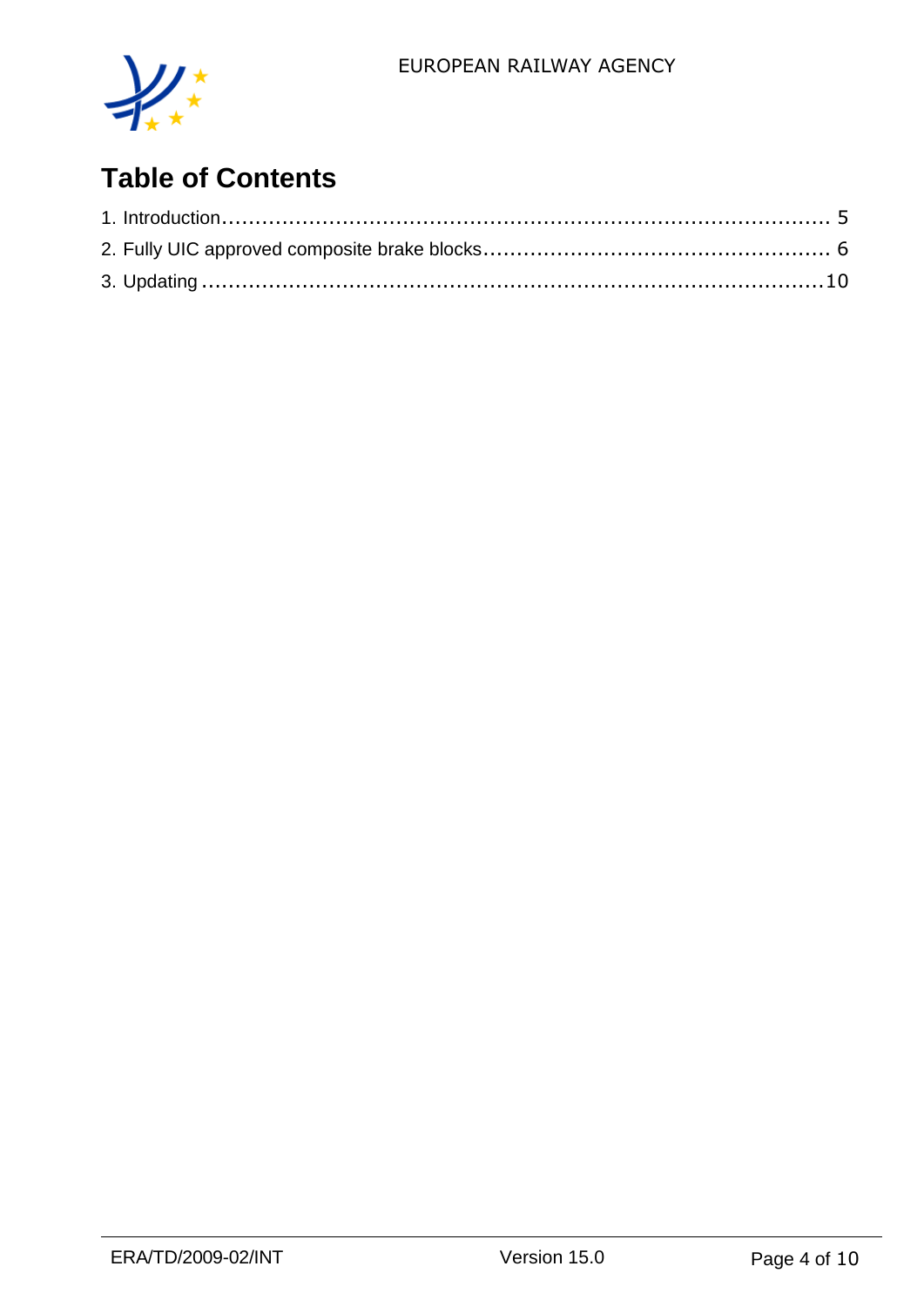

# **Table of Contents**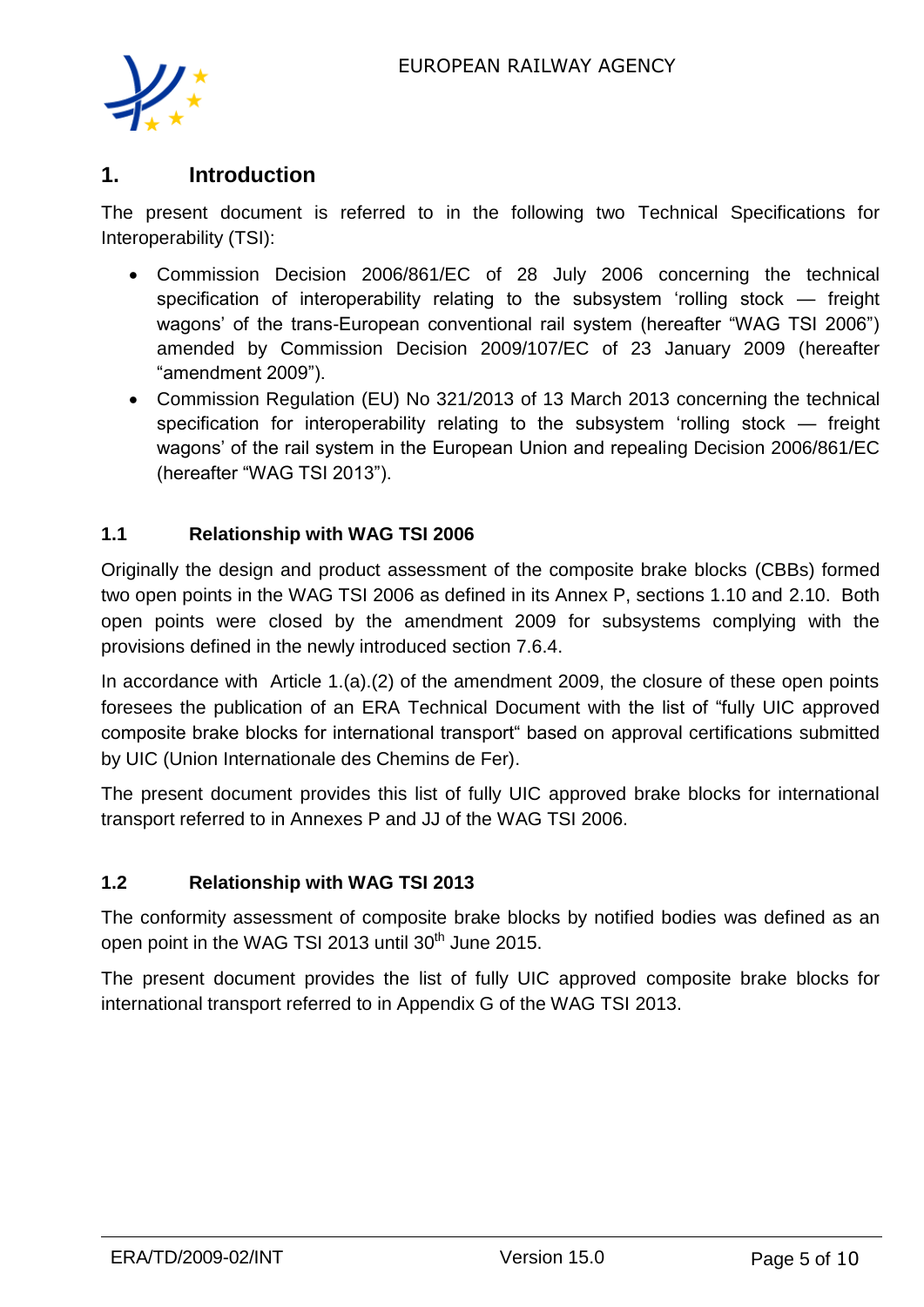

#### **1. Introduction**

The present document is referred to in the following two Technical Specifications for Interoperability (TSI):

- Commission Decision 2006/861/EC of 28 July 2006 concerning the technical specification of interoperability relating to the subsystem 'rolling stock — freight wagons' of the trans-European conventional rail system (hereafter "WAG TSI 2006") amended by Commission Decision 2009/107/EC of 23 January 2009 (hereafter "amendment 2009").
- Commission Regulation (EU) No 321/2013 of 13 March 2013 concerning the technical specification for interoperability relating to the subsystem 'rolling stock — freight wagons' of the rail system in the European Union and repealing Decision 2006/861/EC (hereafter "WAG TSI 2013").

#### **1.1 Relationship with WAG TSI 2006**

Originally the design and product assessment of the composite brake blocks (CBBs) formed two open points in the WAG TSI 2006 as defined in its Annex P, sections 1.10 and 2.10. Both open points were closed by the amendment 2009 for subsystems complying with the provisions defined in the newly introduced section 7.6.4.

In accordance with Article 1.(a).(2) of the amendment 2009, the closure of these open points foresees the publication of an ERA Technical Document with the list of "fully UIC approved composite brake blocks for international transport" based on approval certifications submitted by UIC (Union Internationale des Chemins de Fer).

The present document provides this list of fully UIC approved brake blocks for international transport referred to in Annexes P and JJ of the WAG TSI 2006.

#### **1.2 Relationship with WAG TSI 2013**

The conformity assessment of composite brake blocks by notified bodies was defined as an open point in the WAG TSI 2013 until 30<sup>th</sup> June 2015.

The present document provides the list of fully UIC approved composite brake blocks for international transport referred to in Appendix G of the WAG TSI 2013.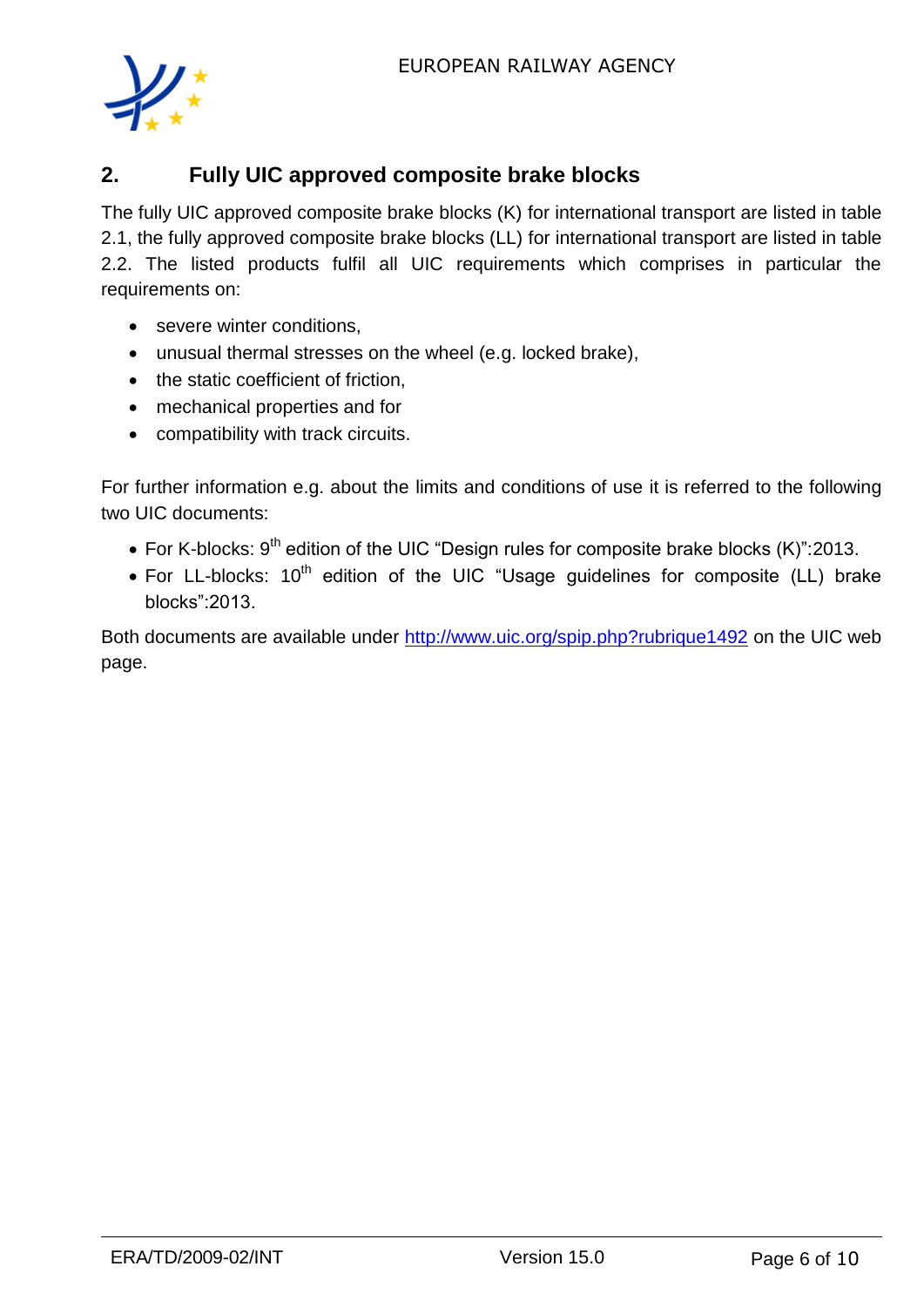

## **2. Fully UIC approved composite brake blocks**

The fully UIC approved composite brake blocks (K) for international transport are listed in table 2.1, the fully approved composite brake blocks (LL) for international transport are listed in table 2.2. The listed products fulfil all UIC requirements which comprises in particular the requirements on:

- severe winter conditions,
- unusual thermal stresses on the wheel (e.g. locked brake),
- the static coefficient of friction,
- mechanical properties and for
- compatibility with track circuits.

For further information e.g. about the limits and conditions of use it is referred to the following two UIC documents:

- For K-blocks:  $9<sup>th</sup>$  edition of the UIC "Design rules for composite brake blocks (K)":2013.
- For LL-blocks: 10<sup>th</sup> edition of the UIC "Usage guidelines for composite (LL) brake blocks":2013.

Both documents are available under<http://www.uic.org/spip.php?rubrique1492> on the UIC web page.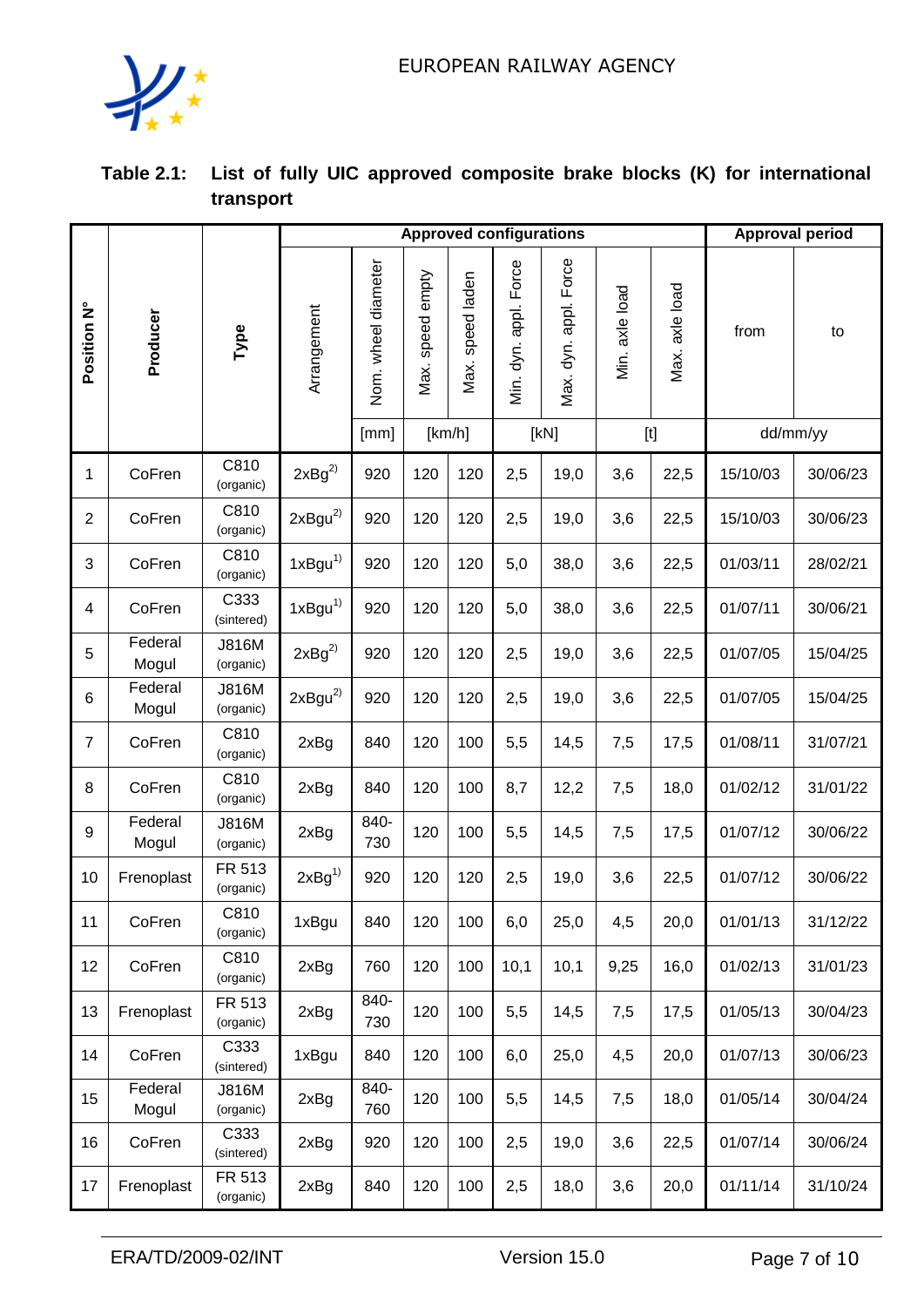

| Table 2.1: List of fully UIC approved composite brake blocks (K) for international |
|------------------------------------------------------------------------------------|
| transport                                                                          |

|                |                  |                           | <b>Approved configurations</b> |                     |                     |                     |                          |                       |                |                                                                                                                                                                                                                                                                                                                                                                                                                                                                                                            | <b>Approval period</b> |          |
|----------------|------------------|---------------------------|--------------------------------|---------------------|---------------------|---------------------|--------------------------|-----------------------|----------------|------------------------------------------------------------------------------------------------------------------------------------------------------------------------------------------------------------------------------------------------------------------------------------------------------------------------------------------------------------------------------------------------------------------------------------------------------------------------------------------------------------|------------------------|----------|
| Position N°    | Producer         | Type                      | Arrangement                    | Nom. wheel diameter | speed empty<br>Max. | speed laden<br>Max. | Force<br>Min. dyn. appl. | Max. dyn. appl. Force | Min. axle load | Max. axle load                                                                                                                                                                                                                                                                                                                                                                                                                                                                                             | from                   | to       |
|                |                  |                           |                                | [mm]                | [km/h]              |                     |                          | [KN]                  |                | $[t] % \begin{center} % \includegraphics[width=\linewidth]{imagesSupplemental_3.png} % \end{center} % \caption { % \textit{DefNet} and { % \textit{DefNet}~\textit{DefNet}~\textit{DefNet}~\textit{DefNet}~\textit{DefNet}~\textit{DefNet}~\textit{DefNet}~\textit{DefNet}~\textit{DefNet}~\textit{DefNet}~\textit{DefNet}~\textit{DefNet}~\textit{DefNet}~\textit{DefNet}~\textit{DefNet}~\textit{DefNet}~\textit{DefNet}~\textit{DefNet}~\textit{DefNet}~\textit{DefNet}~\textit{DefNet}~\textit{DefNet$ |                        | dd/mm/yy |
| 1              | CoFren           | C810<br>(organic)         | $2xBg^{2)}$                    | 920                 | 120                 | 120                 | 2,5                      | 19,0                  | 3,6            | 22,5                                                                                                                                                                                                                                                                                                                                                                                                                                                                                                       | 15/10/03               | 30/06/23 |
| $\overline{2}$ | CoFren           | C810<br>(organic)         | $2xByu^{2)}$                   | 920                 | 120                 | 120                 | 2,5                      | 19,0                  | 3,6            | 22,5                                                                                                                                                                                                                                                                                                                                                                                                                                                                                                       | 15/10/03               | 30/06/23 |
| 3              | CoFren           | C810<br>(organic)         | 1xBgu <sup>1</sup>             | 920                 | 120                 | 120                 | 5,0                      | 38,0                  | 3,6            | 22,5                                                                                                                                                                                                                                                                                                                                                                                                                                                                                                       | 01/03/11               | 28/02/21 |
| 4              | CoFren           | C333<br>(sintered)        | 1xBgu <sup>1</sup>             | 920                 | 120                 | 120                 | 5,0                      | 38,0                  | 3,6            | 22,5                                                                                                                                                                                                                                                                                                                                                                                                                                                                                                       | 01/07/11               | 30/06/21 |
| 5              | Federal<br>Mogul | <b>J816M</b><br>(organic) | $2xBg^{2}$                     | 920                 | 120                 | 120                 | 2,5                      | 19,0                  | 3,6            | 22,5                                                                                                                                                                                                                                                                                                                                                                                                                                                                                                       | 01/07/05               | 15/04/25 |
| 6              | Federal<br>Mogul | <b>J816M</b><br>(organic) | 2xBgu <sup>2</sup>             | 920                 | 120                 | 120                 | 2,5                      | 19,0                  | 3,6            | 22,5                                                                                                                                                                                                                                                                                                                                                                                                                                                                                                       | 01/07/05               | 15/04/25 |
| $\overline{7}$ | CoFren           | C810<br>(organic)         | 2xBg                           | 840                 | 120                 | 100                 | 5,5                      | 14,5                  | 7,5            | 17,5                                                                                                                                                                                                                                                                                                                                                                                                                                                                                                       | 01/08/11               | 31/07/21 |
| 8              | CoFren           | C810<br>(organic)         | 2xBg                           | 840                 | 120                 | 100                 | 8,7                      | 12,2                  | 7,5            | 18,0                                                                                                                                                                                                                                                                                                                                                                                                                                                                                                       | 01/02/12               | 31/01/22 |
| 9              | Federal<br>Mogul | <b>J816M</b><br>(organic) | 2xBg                           | 840-<br>730         | 120                 | 100                 | 5,5                      | 14,5                  | 7,5            | 17,5                                                                                                                                                                                                                                                                                                                                                                                                                                                                                                       | 01/07/12               | 30/06/22 |
| 10             | Frenoplast       | FR 513<br>(organic)       | 2xBg <sup>1</sup>              | 920                 | 120                 | 120                 | 2,5                      | 19,0                  | 3,6            | 22,5                                                                                                                                                                                                                                                                                                                                                                                                                                                                                                       | 01/07/12               | 30/06/22 |
| 11             | CoFren           | C810<br>(organic)         | 1xBgu                          | 840                 | 120                 | 100                 | 6,0                      | 25,0                  | 4,5            | 20,0                                                                                                                                                                                                                                                                                                                                                                                                                                                                                                       | 01/01/13               | 31/12/22 |
| 12             | CoFren           | C810<br>(organic)         | 2xBg                           | 760                 | 120                 | 100                 | 10,1                     | 10,1                  | 9,25           | 16,0                                                                                                                                                                                                                                                                                                                                                                                                                                                                                                       | 01/02/13               | 31/01/23 |
| 13             | Frenoplast       | FR 513<br>(organic)       | 2xBg                           | 840-<br>730         | 120                 | 100                 | 5,5                      | 14,5                  | 7,5            | 17,5                                                                                                                                                                                                                                                                                                                                                                                                                                                                                                       | 01/05/13               | 30/04/23 |
| 14             | CoFren           | C333<br>(sintered)        | 1xBgu                          | 840                 | 120                 | 100                 | 6,0                      | 25,0                  | 4,5            | 20,0                                                                                                                                                                                                                                                                                                                                                                                                                                                                                                       | 01/07/13               | 30/06/23 |
| 15             | Federal<br>Mogul | <b>J816M</b><br>(organic) | 2xBg                           | 840-<br>760         | 120                 | 100                 | 5,5                      | 14,5                  | 7,5            | 18,0                                                                                                                                                                                                                                                                                                                                                                                                                                                                                                       | 01/05/14               | 30/04/24 |
| 16             | CoFren           | C333<br>(sintered)        | 2xBg                           | 920                 | 120                 | 100                 | 2,5                      | 19,0                  | 3,6            | 22,5                                                                                                                                                                                                                                                                                                                                                                                                                                                                                                       | 01/07/14               | 30/06/24 |
| 17             | Frenoplast       | FR 513<br>(organic)       | 2xBg                           | 840                 | 120                 | 100                 | 2,5                      | 18,0                  | 3,6            | 20,0                                                                                                                                                                                                                                                                                                                                                                                                                                                                                                       | 01/11/14               | 31/10/24 |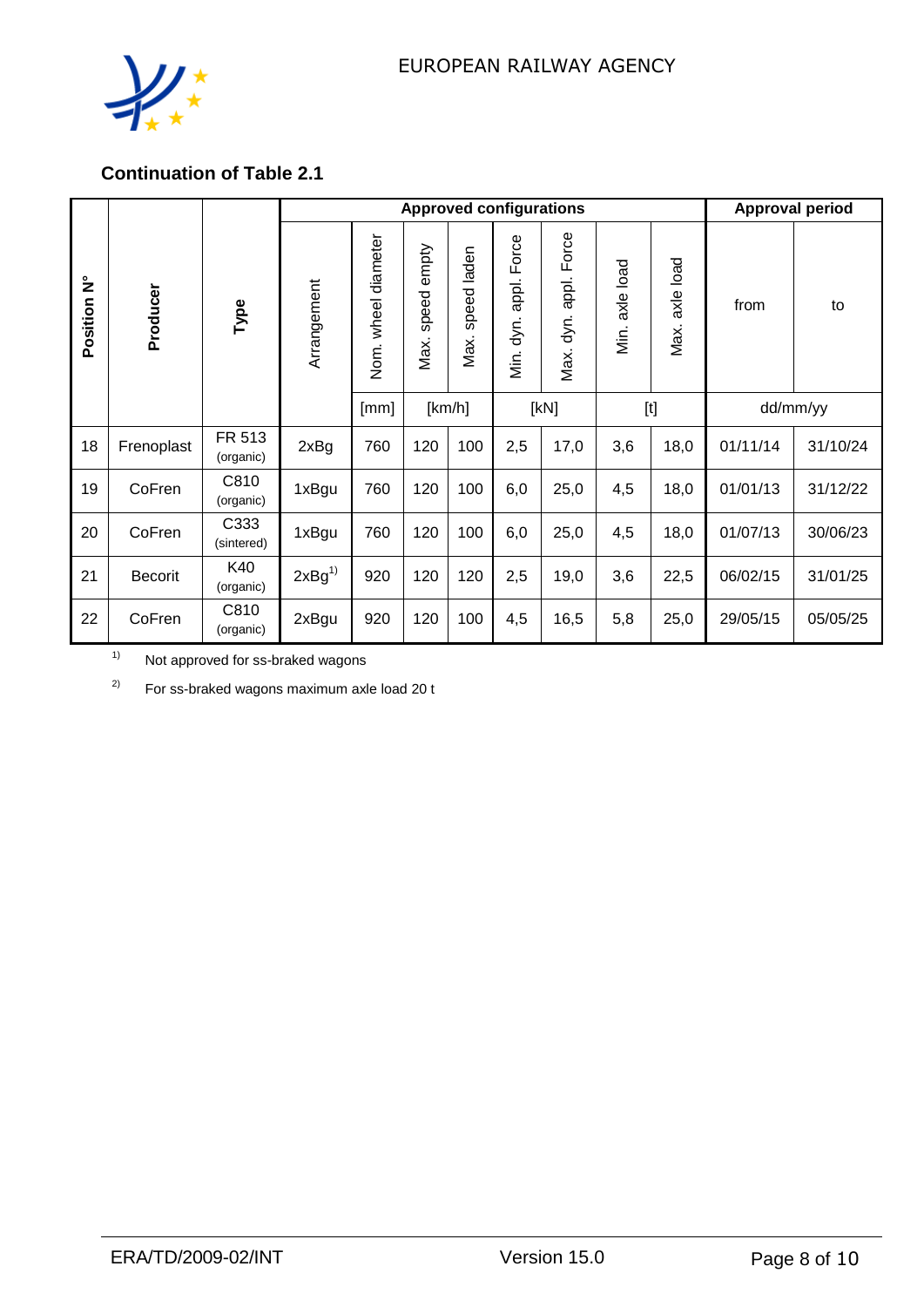

## **Continuation of Table 2.1**

|               |                |                     |                   | <b>Approved configurations</b> |                        |                     |                                |                                |                   |                   |          | <b>Approval period</b> |  |  |
|---------------|----------------|---------------------|-------------------|--------------------------------|------------------------|---------------------|--------------------------------|--------------------------------|-------------------|-------------------|----------|------------------------|--|--|
| ۓ<br>Position | Producer       | Type                | Arrangement       | Nom. wheel diameter            | empty<br>speed<br>Max. | speed laden<br>Max. | Force<br>appl.<br>dyn.<br>Йiг. | Force<br>appl.<br>dyn.<br>Max. | axle load<br>Min. | axle load<br>Max. | from     | to                     |  |  |
|               |                |                     |                   | [mm]                           |                        | [km/h]              |                                | [kN]                           |                   |                   |          | dd/mm/yy               |  |  |
| 18            | Frenoplast     | FR 513<br>(organic) | 2xBg              | 760                            | 120                    | 100                 | 2,5                            | 17,0                           | 3,6               | 18,0              | 01/11/14 | 31/10/24               |  |  |
| 19            | CoFren         | C810<br>(organic)   | 1xBgu             | 760                            | 120                    | 100                 | 6,0                            | 25,0                           | 4,5               | 18,0              | 01/01/13 | 31/12/22               |  |  |
| 20            | CoFren         | C333<br>(sintered)  | 1xBgu             | 760                            | 120                    | 100                 | 6,0                            | 25,0                           | 4,5               | 18,0              | 01/07/13 | 30/06/23               |  |  |
| 21            | <b>Becorit</b> | K40<br>(organic)    | 2xBg <sup>1</sup> | 920                            | 120                    | 120                 | 2,5                            | 19,0                           | 3,6               | 22,5              | 06/02/15 | 31/01/25               |  |  |
| 22            | CoFren         | C810<br>(organic)   | 2xBgu             | 920                            | 120                    | 100                 | 4,5                            | 16,5                           | 5,8               | 25,0              | 29/05/15 | 05/05/25               |  |  |

1) Not approved for ss-braked wagons

 $2)$  For ss-braked wagons maximum axle load 20 t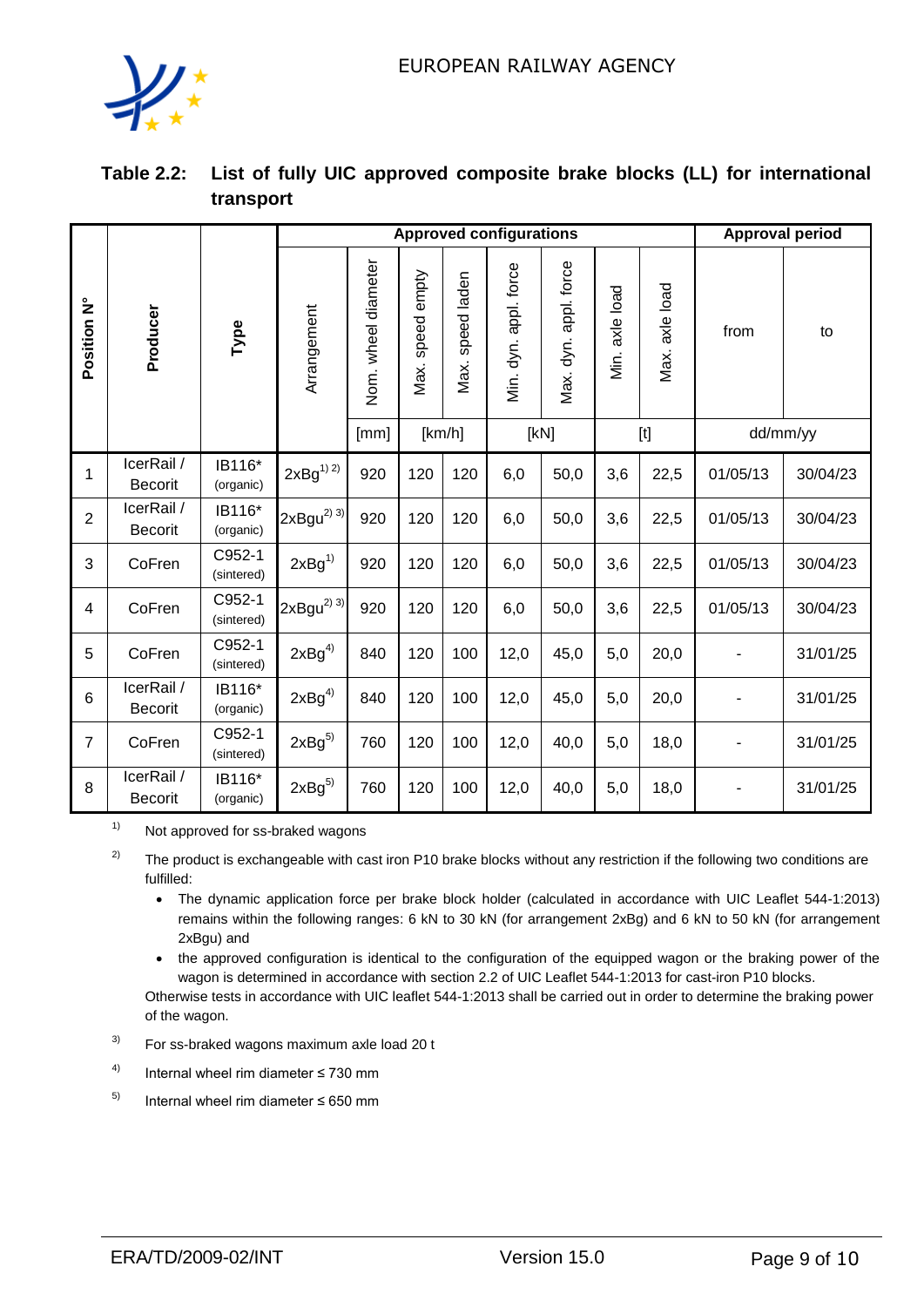

| Table 2.2: List of fully UIC approved composite brake blocks (LL) for international |
|-------------------------------------------------------------------------------------|
| transport                                                                           |

|                 |                              |                      |                            | <b>Approved configurations</b> |                     | <b>Approval period</b> |                       |                       |                   |                                                                                                                                                                                                                                                                                                                                                                                                                                                                                                            |                |          |
|-----------------|------------------------------|----------------------|----------------------------|--------------------------------|---------------------|------------------------|-----------------------|-----------------------|-------------------|------------------------------------------------------------------------------------------------------------------------------------------------------------------------------------------------------------------------------------------------------------------------------------------------------------------------------------------------------------------------------------------------------------------------------------------------------------------------------------------------------------|----------------|----------|
| Position N°     | Producer                     | Туре                 | Arrangement                | Nom. wheel diameter            | speed empty<br>Max. | speed laden<br>Max.    | Min. dyn. appl. force | Max. dyn. appl. force | axle load<br>Мiг. | axle load<br>Max.                                                                                                                                                                                                                                                                                                                                                                                                                                                                                          | from           | to       |
|                 |                              |                      |                            | [mm]                           | [km/h]              |                        |                       | [KN]                  |                   | $[t] % \begin{center} % \includegraphics[width=\linewidth]{imagesSupplemental_3.png} % \end{center} % \caption { % \textit{DefNet} and { % \textit{DefNet}~\textit{DefNet}~\textit{DefNet}~\textit{DefNet}~\textit{DefNet}~\textit{DefNet}~\textit{DefNet}~\textit{DefNet}~\textit{DefNet}~\textit{DefNet}~\textit{DefNet}~\textit{DefNet}~\textit{DefNet}~\textit{DefNet}~\textit{DefNet}~\textit{DefNet}~\textit{DefNet}~\textit{DefNet}~\textit{DefNet}~\textit{DefNet}~\textit{DefNet}~\textit{DefNet$ |                | dd/mm/yy |
| 1               | IcerRail /<br>Becorit        | IB116*<br>(organic)  | $2xBg^{1)}{}^{2)}$         | 920                            | 120                 | 120                    | 6,0                   | 50,0                  | 3,6               | 22,5                                                                                                                                                                                                                                                                                                                                                                                                                                                                                                       | 01/05/13       | 30/04/23 |
| $\overline{2}$  | IcerRail /<br><b>Becorit</b> | IB116*<br>(organic)  | $2xBgu^{2)}3$              | 920                            | 120                 | 120                    | 6,0                   | 50,0                  | 3,6               | 22,5                                                                                                                                                                                                                                                                                                                                                                                                                                                                                                       | 01/05/13       | 30/04/23 |
| 3               | CoFren                       | C952-1<br>(sintered) | 2xBg <sup>1</sup>          | 920                            | 120                 | 120                    | 6,0                   | 50,0                  | 3,6               | 22,5                                                                                                                                                                                                                                                                                                                                                                                                                                                                                                       | 01/05/13       | 30/04/23 |
| $\overline{4}$  | CoFren                       | C952-1<br>(sintered) | $2xBgu^{2)}$ <sup>3)</sup> | 920                            | 120                 | 120                    | 6,0                   | 50,0                  | 3,6               | 22,5                                                                                                                                                                                                                                                                                                                                                                                                                                                                                                       | 01/05/13       | 30/04/23 |
| 5               | CoFren                       | C952-1<br>(sintered) | $2xBg^{4}$                 | 840                            | 120                 | 100                    | 12,0                  | 45,0                  | 5,0               | 20,0                                                                                                                                                                                                                                                                                                                                                                                                                                                                                                       |                | 31/01/25 |
| $6\phantom{1}6$ | IcerRail /<br><b>Becorit</b> | IB116*<br>(organic)  | $2xBg^{4)}$                | 840                            | 120                 | 100                    | 12,0                  | 45,0                  | 5,0               | 20,0                                                                                                                                                                                                                                                                                                                                                                                                                                                                                                       |                | 31/01/25 |
| $\overline{7}$  | CoFren                       | C952-1<br>(sintered) | $2xBg^{5}$                 | 760                            | 120                 | 100                    | 12,0                  | 40,0                  | 5,0               | 18,0                                                                                                                                                                                                                                                                                                                                                                                                                                                                                                       | $\overline{a}$ | 31/01/25 |
| 8               | IcerRail /<br><b>Becorit</b> | IB116*<br>(organic)  | $2xBg^{5}$                 | 760                            | 120                 | 100                    | 12,0                  | 40,0                  | 5,0               | 18,0                                                                                                                                                                                                                                                                                                                                                                                                                                                                                                       |                | 31/01/25 |

<sup>1)</sup> Not approved for ss-braked wagons

- <sup>2)</sup> The product is exchangeable with cast iron P10 brake blocks without any restriction if the following two conditions are fulfilled:
	- The dynamic application force per brake block holder (calculated in accordance with UIC Leaflet 544-1:2013) remains within the following ranges: 6 kN to 30 kN (for arrangement 2xBg) and 6 kN to 50 kN (for arrangement 2xBgu) and
	- the approved configuration is identical to the configuration of the equipped wagon or the braking power of the wagon is determined in accordance with section 2.2 of UIC Leaflet 544-1:2013 for cast-iron P10 blocks.

Otherwise tests in accordance with UIC leaflet 544-1:2013 shall be carried out in order to determine the braking power of the wagon.

- $3$  For ss-braked wagons maximum axle load 20 t
- 4) Internal wheel rim diameter ≤ 730 mm
- 5) Internal wheel rim diameter ≤ 650 mm